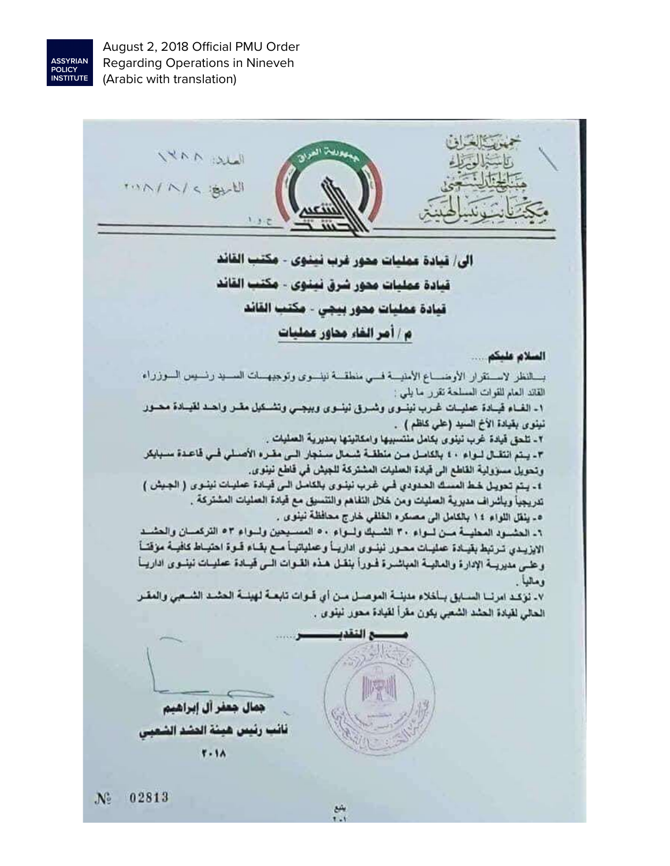$X^{\alpha} \wedge \wedge ... \wedge$ MAIN / Sight الى/ قيادة عمليات محور غرب نينوي - مكتب القائد قيادة عمليات محور شرق ئيئوى - مكتب القائد قيادة عمليات محور بيجى - مكتب القائد م / أمر الفاء محاور عمليات السلام عليكم بسالنظر لاستقرار الأوضباع الأمنيسة فسي منطقسة نينسوى وتوجيهسات العسيد رنسيس السوزراء القائد العام للقوات المسلحة تقرر ما يلي : ١- الف)، فيبادة عملينات غبرب نينسوي وشبرقي نينسوي ويبيجسي وتشبكيل مقس واحند لقيبادة محسور نْبِنُوي بِفَيادة الأَخِ السيد (على كاظم ) . ٢ ـ تلحق قيادة غرب نينوى بكامل منتسبيها وامكانيتها بعديرية الععليات . ٣- ينتم انتقبال لبواء ٤٠ بالكامل من منطقية شيمال سنجار البي مقره الأصبلي فبي فاعدة سبايكر وتحويل مسوولية القاطع الى فيادة العمليات المشتركة للجيش في قاطع نينوي. 1- يتم تحويل شط العسك الحدودي في غرب نينوي بالكامل الى قيادة عمليات نينوي ( الجيش ) تدريجياً ويأشراف مديرية العمليات ومن خلال النفاهم والنتسيق مع قيادة العمليات المشتركة . ٥ ـ ينظل اللواء ١٤ بالكامل الى مصكره الخلفي خارج محافظة نينوى . ٦ ـ المثمود المطيسة مـن لــواء ٣٠ الشــيك ولــواء ٥٠ المســيحين ولــواء ٥٣ التركمــان والحشــد الايزييدي تنرتبط بقينادة عملينات محنور ثينبوي ادارينأ وعملياتينا مسع بقناء قبوة احتيناط كافينة مؤقتنا وعلـي مديريـــة الإدارة والعاليـــة العهاشـــرة فحـوراً بنقــل هــذه القـــوات الـــي فيسادة عمليـــات نبينــوى اداريـــا وماليا . ٧ ـ نزكـد امرنــا الســابق بــأخلاء مدينــة الموصــل مــن أي قــوات تابعــة لهينــة الحثــد الشــعبي والمقــر الحالي لقيادة الحثِّد الشعبي يكون مقرأ لقيادة محور نينو ي . 隆 جمال جعفر آل إبراهيم نائب رئيس هيئة الحشد الشعبس  $F - 1A$  $N_{\rm e}$ 02813

بندج<br>۱. ۱